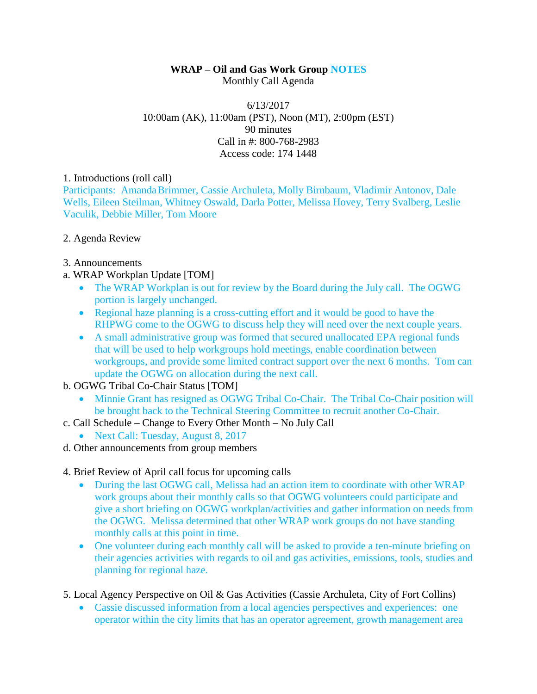# **WRAP – Oil and Gas Work Group NOTES**

Monthly Call Agenda

#### 6/13/2017 10:00am (AK), 11:00am (PST), Noon (MT), 2:00pm (EST) 90 minutes Call in #: 800-768-2983 Access code: 174 1448

#### 1. Introductions (roll call)

Participants: AmandaBrimmer, Cassie Archuleta, Molly Birnbaum, Vladimir Antonov, Dale Wells, Eileen Steilman, Whitney Oswald, Darla Potter, Melissa Hovey, Terry Svalberg, Leslie Vaculik, Debbie Miller, Tom Moore

## 2. Agenda Review

- 3. Announcements
- a. WRAP Workplan Update [TOM]
	- The WRAP Workplan is out for review by the Board during the July call. The OGWG portion is largely unchanged.
	- Regional haze planning is a cross-cutting effort and it would be good to have the RHPWG come to the OGWG to discuss help they will need over the next couple years.
	- A small administrative group was formed that secured unallocated EPA regional funds that will be used to help workgroups hold meetings, enable coordination between workgroups, and provide some limited contract support over the next 6 months. Tom can update the OGWG on allocation during the next call.

## b. OGWG Tribal Co-Chair Status [TOM]

- Minnie Grant has resigned as OGWG Tribal Co-Chair. The Tribal Co-Chair position will be brought back to the Technical Steering Committee to recruit another Co-Chair.
- c. Call Schedule Change to Every Other Month No July Call
	- Next Call: Tuesday, August 8, 2017
- d. Other announcements from group members

## 4. Brief Review of April call focus for upcoming calls

- During the last OGWG call, Melissa had an action item to coordinate with other WRAP work groups about their monthly calls so that OGWG volunteers could participate and give a short briefing on OGWG workplan/activities and gather information on needs from the OGWG. Melissa determined that other WRAP work groups do not have standing monthly calls at this point in time.
- One volunteer during each monthly call will be asked to provide a ten-minute briefing on their agencies activities with regards to oil and gas activities, emissions, tools, studies and planning for regional haze.
- 5. Local Agency Perspective on Oil & Gas Activities (Cassie Archuleta, City of Fort Collins)
	- Cassie discussed information from a local agencies perspectives and experiences: one operator within the city limits that has an operator agreement, growth management area